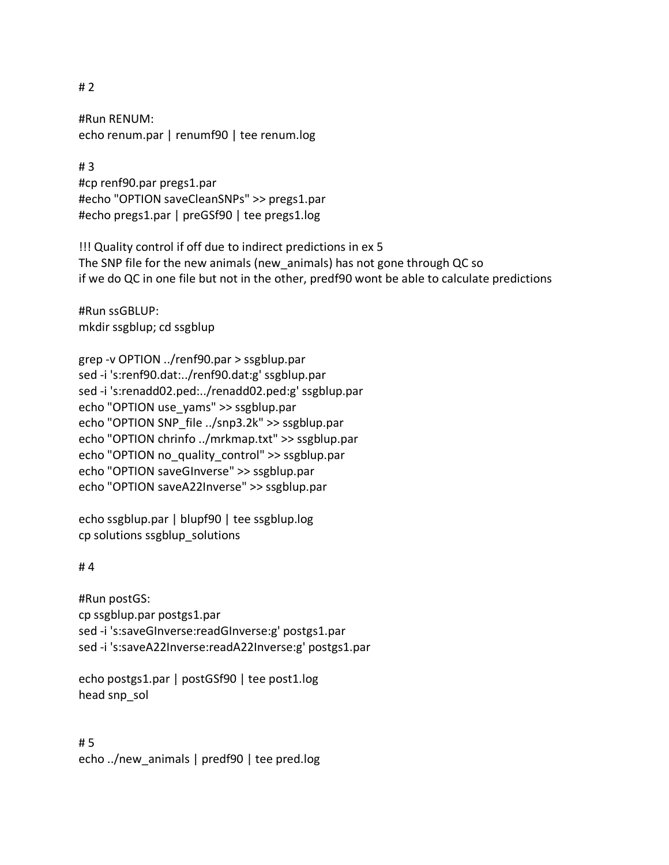## # 2

#Run RENUM: echo renum.par | renumf90 | tee renum.log

# 3 #cp renf90.par pregs1.par #echo "OPTION saveCleanSNPs" >> pregs1.par #echo pregs1.par | preGSf90 | tee pregs1.log

!!! Quality control if off due to indirect predictions in ex 5 The SNP file for the new animals (new\_animals) has not gone through QC so if we do QC in one file but not in the other, predf90 wont be able to calculate predictions

#Run ssGBLUP: mkdir ssgblup; cd ssgblup

grep -v OPTION ../renf90.par > ssgblup.par sed -i 's:renf90.dat:../renf90.dat:g' ssgblup.par sed -i 's:renadd02.ped:../renadd02.ped:g' ssgblup.par echo "OPTION use\_yams" >> ssgblup.par echo "OPTION SNP\_file ../snp3.2k" >> ssgblup.par echo "OPTION chrinfo ../mrkmap.txt" >> ssgblup.par echo "OPTION no\_quality\_control" >> ssgblup.par echo "OPTION saveGInverse" >> ssgblup.par echo "OPTION saveA22Inverse" >> ssgblup.par

echo ssgblup.par | blupf90 | tee ssgblup.log cp solutions ssgblup\_solutions

# 4

#Run postGS: cp ssgblup.par postgs1.par sed -i 's:saveGInverse:readGInverse:g' postgs1.par sed -i 's:saveA22Inverse:readA22Inverse:g' postgs1.par

echo postgs1.par | postGSf90 | tee post1.log head snp\_sol

# 5 echo ../new\_animals | predf90 | tee pred.log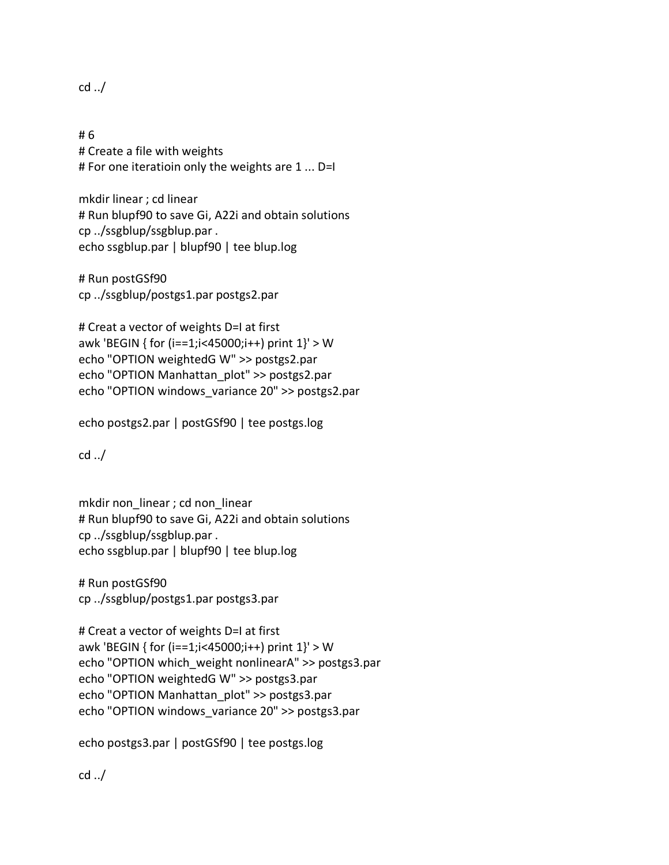cd ../

# 6 # Create a file with weights # For one iteratioin only the weights are 1 ... D=I

mkdir linear ; cd linear # Run blupf90 to save Gi, A22i and obtain solutions cp ../ssgblup/ssgblup.par . echo ssgblup.par | blupf90 | tee blup.log

# Run postGSf90 cp ../ssgblup/postgs1.par postgs2.par

# Creat a vector of weights D=I at first awk 'BEGIN { for (i==1;i<45000;i++) print 1}' > W echo "OPTION weightedG W" >> postgs2.par echo "OPTION Manhattan\_plot" >> postgs2.par echo "OPTION windows\_variance 20" >> postgs2.par

echo postgs2.par | postGSf90 | tee postgs.log

cd ../

mkdir non linear ; cd non linear # Run blupf90 to save Gi, A22i and obtain solutions cp ../ssgblup/ssgblup.par . echo ssgblup.par | blupf90 | tee blup.log

# Run postGSf90 cp ../ssgblup/postgs1.par postgs3.par

# Creat a vector of weights D=I at first awk 'BEGIN { for (i==1;i<45000;i++) print 1}' > W echo "OPTION which\_weight nonlinearA" >> postgs3.par echo "OPTION weightedG W" >> postgs3.par echo "OPTION Manhattan\_plot" >> postgs3.par echo "OPTION windows\_variance 20" >> postgs3.par

echo postgs3.par | postGSf90 | tee postgs.log

cd ../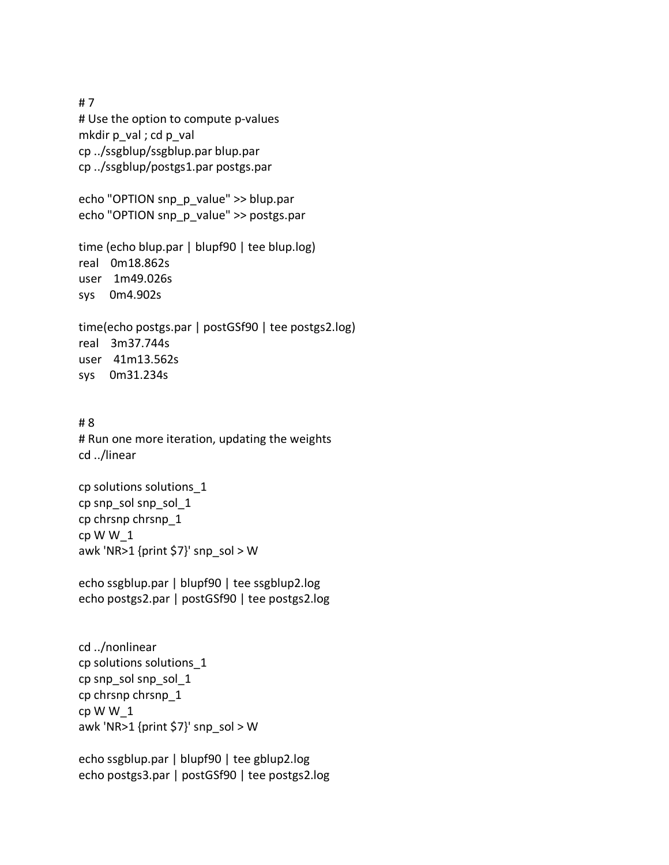# 7 # Use the option to compute p-values mkdir p\_val ; cd p\_val cp ../ssgblup/ssgblup.par blup.par cp ../ssgblup/postgs1.par postgs.par

echo "OPTION snp\_p\_value" >> blup.par echo "OPTION snp\_p\_value" >> postgs.par

time (echo blup.par | blupf90 | tee blup.log) real 0m18.862s user 1m49.026s sys 0m4.902s

time(echo postgs.par | postGSf90 | tee postgs2.log) real 3m37.744s user 41m13.562s sys 0m31.234s

# 8 # Run one more iteration, updating the weights cd ../linear

cp solutions solutions\_1 cp snp\_sol snp\_sol\_1 cp chrsnp chrsnp\_1 cp W W\_1 awk 'NR>1 {print \$7}' snp\_sol > W

echo ssgblup.par | blupf90 | tee ssgblup2.log echo postgs2.par | postGSf90 | tee postgs2.log

cd ../nonlinear cp solutions solutions\_1 cp snp\_sol snp\_sol\_1 cp chrsnp chrsnp\_1 cp W W\_1 awk 'NR>1 {print \$7}' snp\_sol > W

echo ssgblup.par | blupf90 | tee gblup2.log echo postgs3.par | postGSf90 | tee postgs2.log